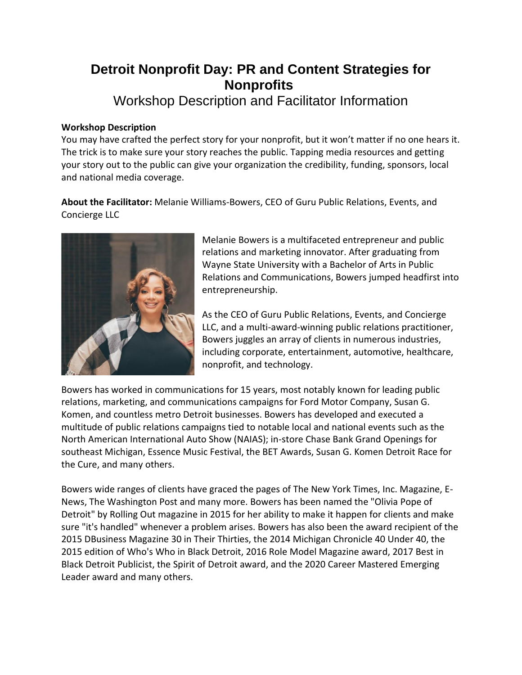## **Detroit Nonprofit Day: PR and Content Strategies for Nonprofits**

Workshop Description and Facilitator Information

## **Workshop Description**

You may have crafted the perfect story for your nonprofit, but it won't matter if no one hears it. The trick is to make sure your story reaches the public. Tapping media resources and getting your story out to the public can give your organization the credibility, funding, sponsors, local and national media coverage.

**About the Facilitator:** Melanie Williams-Bowers, CEO of Guru Public Relations, Events, and Concierge LLC



Melanie Bowers is a multifaceted entrepreneur and public relations and marketing innovator. After graduating from Wayne State University with a Bachelor of Arts in Public Relations and Communications, Bowers jumped headfirst into entrepreneurship.

As the CEO of Guru Public Relations, Events, and Concierge LLC, and a multi-award-winning public relations practitioner, Bowers juggles an array of clients in numerous industries, including corporate, entertainment, automotive, healthcare, nonprofit, and technology.

Bowers has worked in communications for 15 years, most notably known for leading public relations, marketing, and communications campaigns for Ford Motor Company, Susan G. Komen, and countless metro Detroit businesses. Bowers has developed and executed a multitude of public relations campaigns tied to notable local and national events such as the North American International Auto Show (NAIAS); in-store Chase Bank Grand Openings for southeast Michigan, Essence Music Festival, the BET Awards, Susan G. Komen Detroit Race for the Cure, and many others.

Bowers wide ranges of clients have graced the pages of The New York Times, Inc. Magazine, E-News, The Washington Post and many more. Bowers has been named the "Olivia Pope of Detroit" by Rolling Out magazine in 2015 for her ability to make it happen for clients and make sure "it's handled" whenever a problem arises. Bowers has also been the award recipient of the 2015 DBusiness Magazine 30 in Their Thirties, the 2014 Michigan Chronicle 40 Under 40, the 2015 edition of Who's Who in Black Detroit, 2016 Role Model Magazine award, 2017 Best in Black Detroit Publicist, the Spirit of Detroit award, and the 2020 Career Mastered Emerging Leader award and many others.